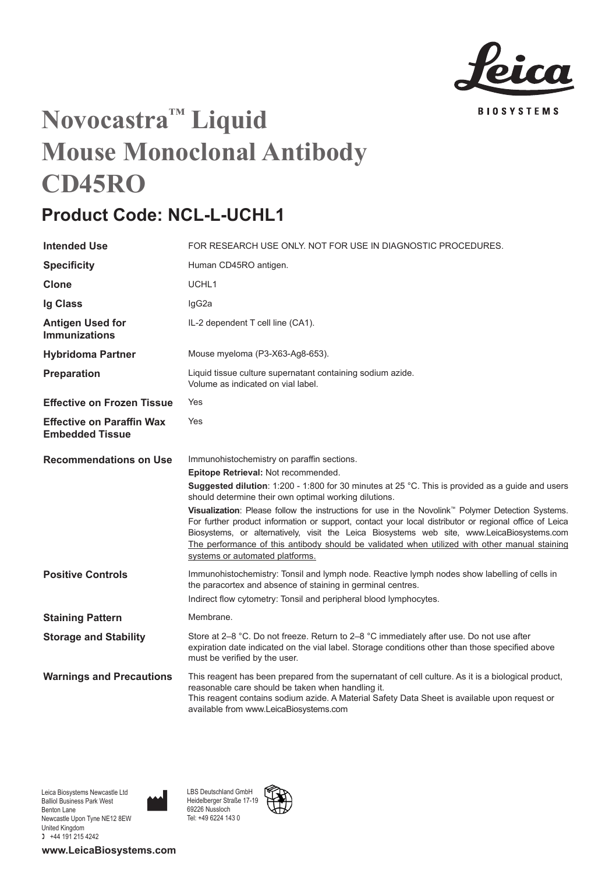

## **Novocastra™ Liquid Mouse Monoclonal Antibody CD45RO**

## **Product Code: NCL-L-UCHL1**

| <b>Intended Use</b>                                        | FOR RESEARCH USE ONLY. NOT FOR USE IN DIAGNOSTIC PROCEDURES.                                                                                                                                                                                                                                                                                                                                                                                                                                                                                                                                                                                                                                                |
|------------------------------------------------------------|-------------------------------------------------------------------------------------------------------------------------------------------------------------------------------------------------------------------------------------------------------------------------------------------------------------------------------------------------------------------------------------------------------------------------------------------------------------------------------------------------------------------------------------------------------------------------------------------------------------------------------------------------------------------------------------------------------------|
| <b>Specificity</b>                                         | Human CD45RO antigen.                                                                                                                                                                                                                                                                                                                                                                                                                                                                                                                                                                                                                                                                                       |
| Clone                                                      | UCHL1                                                                                                                                                                                                                                                                                                                                                                                                                                                                                                                                                                                                                                                                                                       |
| Ig Class                                                   | lgG2a                                                                                                                                                                                                                                                                                                                                                                                                                                                                                                                                                                                                                                                                                                       |
| Antigen Used for<br><b>Immunizations</b>                   | IL-2 dependent T cell line (CA1).                                                                                                                                                                                                                                                                                                                                                                                                                                                                                                                                                                                                                                                                           |
| <b>Hybridoma Partner</b>                                   | Mouse myeloma (P3-X63-Ag8-653).                                                                                                                                                                                                                                                                                                                                                                                                                                                                                                                                                                                                                                                                             |
| Preparation                                                | Liquid tissue culture supernatant containing sodium azide.<br>Volume as indicated on vial label.                                                                                                                                                                                                                                                                                                                                                                                                                                                                                                                                                                                                            |
| <b>Effective on Frozen Tissue</b>                          | Yes                                                                                                                                                                                                                                                                                                                                                                                                                                                                                                                                                                                                                                                                                                         |
| <b>Effective on Paraffin Wax</b><br><b>Embedded Tissue</b> | Yes                                                                                                                                                                                                                                                                                                                                                                                                                                                                                                                                                                                                                                                                                                         |
| <b>Recommendations on Use</b>                              | Immunohistochemistry on paraffin sections.<br>Epitope Retrieval: Not recommended.<br>Suggested dilution: 1:200 - 1:800 for 30 minutes at 25 °C. This is provided as a guide and users<br>should determine their own optimal working dilutions.<br>Visualization: Please follow the instructions for use in the Novolink <sup>"</sup> Polymer Detection Systems.<br>For further product information or support, contact your local distributor or regional office of Leica<br>Biosystems, or alternatively, visit the Leica Biosystems web site, www.LeicaBiosystems.com<br>The performance of this antibody should be validated when utilized with other manual staining<br>systems or automated platforms. |
| <b>Positive Controls</b>                                   | Immunohistochemistry: Tonsil and lymph node. Reactive lymph nodes show labelling of cells in<br>the paracortex and absence of staining in germinal centres.<br>Indirect flow cytometry: Tonsil and peripheral blood lymphocytes.                                                                                                                                                                                                                                                                                                                                                                                                                                                                            |
| <b>Staining Pattern</b>                                    | Membrane.                                                                                                                                                                                                                                                                                                                                                                                                                                                                                                                                                                                                                                                                                                   |
| <b>Storage and Stability</b>                               | Store at 2-8 °C. Do not freeze. Return to 2-8 °C immediately after use. Do not use after<br>expiration date indicated on the vial label. Storage conditions other than those specified above<br>must be verified by the user.                                                                                                                                                                                                                                                                                                                                                                                                                                                                               |
| <b>Warnings and Precautions</b>                            | This reagent has been prepared from the supernatant of cell culture. As it is a biological product,<br>reasonable care should be taken when handling it.<br>This reagent contains sodium azide. A Material Safety Data Sheet is available upon request or<br>available from www.LeicaBiosystems.com                                                                                                                                                                                                                                                                                                                                                                                                         |

Leica Biosystems Newcastle Ltd Balliol Business Park West Benton Lane Newcastle Upon Tyne NE12 8EW United Kingdom  $+44$  191 215 4242

**www.LeicaBiosystems.com**

LBS Deutschland GmbH Heidelberger Straße 17-19 69226 Nussloch Tel: +49 6224 143 0